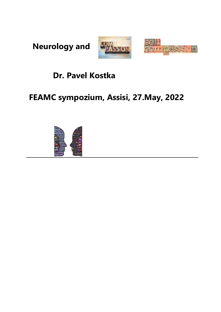**Neurology and**





### **Dr. Pavel Kostka**

### **FEAMC sympozium, Assisi, 27.May, 2022**

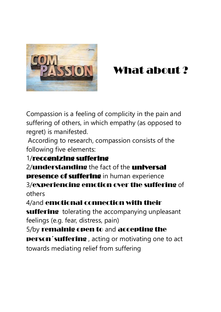

# What about ?

Compassion is a feeling of complicity in the pain and suffering of others, in which empathy (as opposed to regret) is manifested.

According to research, compassion consists of the following five elements:

### 1/recognizing suffering

2/**understanding** the fact of the **universal presence of suffering** in human experience 3/experiencing emotion over the suffering of others

4/and emotional connection with their

suffering tolerating the accompanying unpleasant feelings (e.g. fear, distress, pain)

5/by remainig open to and accepting the

person´suffering , acting or motivating one to act towards mediating relief from suffering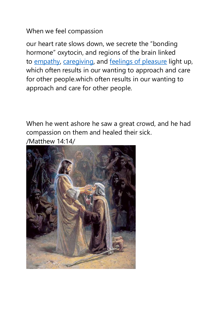When we feel compassion

our heart rate slows down, we secrete the "bonding hormone" oxytocin, and regions of the brain linked to [empathy,](http://home.uchicago.edu/~decety/Files/other/Decety_BCNR_2004.pdf) [caregiving,](https://www.youtube.com/watch?v=RZGJV5TRk_c) and [feelings of pleasure](http://harbaugh.uoregon.edu/Papers/HMB%202007%20Science%20Tax%20Give.pdf) light up, which often results in our wanting to approach and care for other people.which often results in our wanting to approach and care for other people.

When he went ashore he saw a great crowd, and he had compassion on them and healed their sick. /Matthew 14:14/

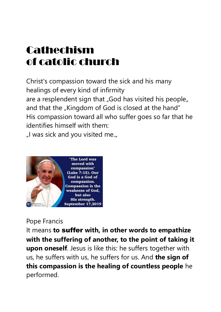# Cathechism of catolic church

Christ's compassion toward the sick and his many healings of every kind of infirmity are a resplendent sign that "God has visited his people" and that the "Kingdom of God is closed at the hand" His compassion toward all who suffer goes so far that he identifies himself with them:

"I was sick and you visited me."



#### Pope Francis

It means **to** suffer **with, in other words to empathize with the suffering of another, to the point of taking it upon oneself**. Jesus is like this: he suffers together with us, he suffers with us, he suffers for us. And **the sign of this compassion is the healing of countless people** he performed.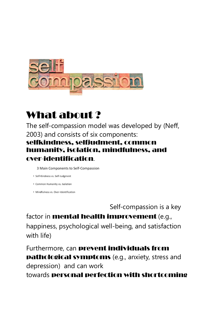

## What about ?

The self-compassion model was developed by (Neff, 2003) and consists of six components: selfkindness, selfjudment, common humanity, isolation, mindfulness, and over-identification.

3 Main Components to Self-Compassion

- · Self-Kindness vs. Self-Judgment
- Common Humanity vs. Isolation
- · Mindfulness vs. Over-Identification

Self-compassion is a key

factor in **mental health improvement** (e.g., happiness, psychological well-being, and satisfaction with life)

Furthermore, can prevent individuals from pathological symptoms (e.g., anxiety, stress and depression) and can work towards personal perfection with shortcoming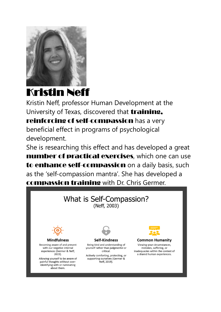

# Kristin Neff

Kristin Neff, professor Human Development at the University of Texas, discovered that *training*, reinforcing of self-compassion has a very beneficial effect in programs of psychological development.

She is researching this effect and has developed a great number of practical exercises, which one can use to enhance self-compassion on a daily basis, such as the 'self-compassion mantra'. She has developed a compassion training with Dr. Chris Germer.

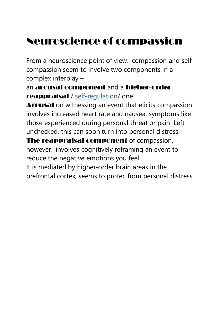# Neuroscience of compassion

From a neuroscience point of view, compassion and selfcompassion seem to involve two components in a complex interplay –

an arousal component and a higher-order reappraisal / [self-regulation/](https://www.psychologytoday.com/us/basics/self-control) one.

Arousal on witnessing an event that elicits compassion involves increased heart rate and nausea, symptoms like those experienced during personal threat or pain. Left unchecked, this can soon turn into personal distress.

The reappraisal component of compassion,

however, involves cognitively reframing an event to reduce the negative emotions you feel.

It is mediated by higher-order brain areas in the prefrontal cortex, seems to protec from personal distress.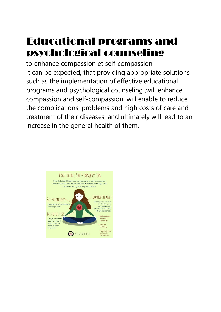# Educational programs and psychological counseling

to enhance compassion et self-compassion It can be expected, that providing appropriate solutions such as the implementation of effective educational programs and psychological counseling ,will enhance compassion and self-compassion, will enable to reduce the complications, problems and high costs of care and treatment of their diseases, and ultimately will lead to an increase in the general health of them.

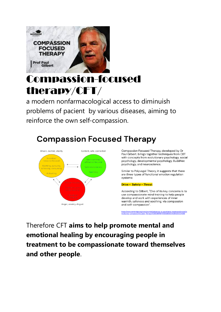

# Compassion-focused therapy/CFT/

a modern nonfarmacological access to diminuish problems of pacient by various diseases, aiming to reinforce the own self-compassion.

## **Compassion Focused Therapy**



Compassion Focused Therapy, developed by Dr Paul Gilbert, brings together techniques from CBT with concepts from evolutionary psychology, social psychology, developmental psychology, Buddhist psychology, and neuroscience.

Similar to Polyvagal Theory, it suggests that there are three types of functional emotion regulation systems:

#### Drive - Safety - Threat

According to Gilbert, "One of its key concerns is to use compassionate mind training to help people develop and work with experiences of inner warmth, safeness and soothing, via compassion and self-compassion".

https://www.cambridge.org/core/journals/advances-in-psychiatric-treatment/article/in<br>troducing-compassionfocused-therapy/ECBC8B7B87E90ABB58C4530CDEE04088

Therefore CFT **aims to help promote mental and emotional healing by encouraging people in treatment to be compassionate toward themselves and other people**.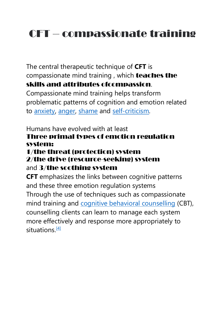# CFT – compassionate training

The central therapeutic technique of **CFT** is compassionate mind training , which teaches the skills and attributes ofcompassion.

Compassionate mind training helps transform problematic patterns of cognition and emotion related to [anxiety,](https://en.wikipedia.org/wiki/Anxiety) [anger,](https://en.wikipedia.org/wiki/Anger) [shame](https://en.wikipedia.org/wiki/Shame) and [self-criticism.](https://en.wikipedia.org/wiki/Self-criticism)

#### Humans have evolved with at least Three primal types of emotion regulation system:

#### 1/the threat (protection) system

#### 2/the drive (resource-seeking) system and 3/the soothing system

**CFT** emphasizes the links between cognitive patterns and these three emotion regulation systems Through the use of techniques such as compassionate mind training and **[cognitive behavioral counselling](https://en.wikipedia.org/wiki/Cognitive_behavioral_counselling) (CBT)**, counselling clients can learn to manage each system more effectively and response more appropriately to situations. $[4]$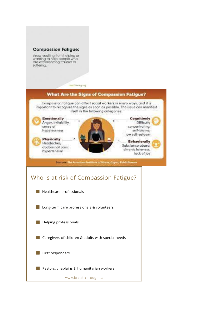#### **Compassion Fatique:**

stress resulting from helping or wanting to help people who are experiencing trauma or suffering.

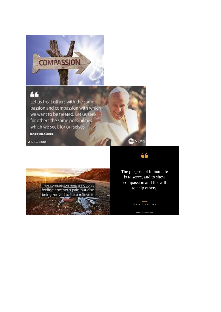

### 66

Let us treat others with the same passion and compassion with which we want to be treated. Let us seek for others the same possibilities which we seek for ourselves. **POPE FRANCIS** 

Folon aABC



The purpose of human life is to serve, and to show compassion and the will to help others.

ALBERT SCHWEITZER

66

**CONEWS**